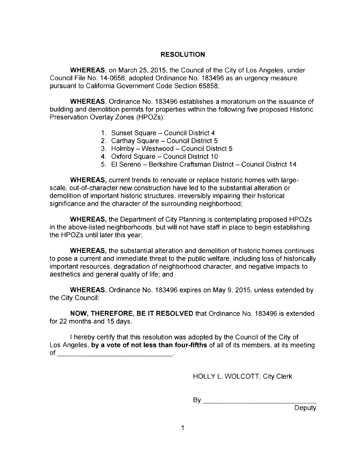## **RESOLUTION**

**WHEREAS,** on March 25, 2015, the Council of the City of Los Angeles, under Council File No. 14-0656, adopted Ordinance No. 183496 as an urgency measure pursuant to California Government Code Section 65858;

**WHEREAS,** Ordinance No. 183496 establishes a moratorium on the issuance of building and demolition permits for properties within the following five proposed Historic Preservation Overlay Zones (HPOZs):

- 1. Sunset Square Council District 4
- 2. Carthay Square Council District 5
- 3. Holmby Westwood Council District 5
- 4. Oxford Square Council District 10
- 5. El Sereno Berkshire Craftsman District Council District <sup>14</sup>

**WHEREAS,** current trends to renovate or replace historic homes with largescale, out-of-character new construction have led to the substantial alteration or demolition of important historic structures, irreversibly impairing their historical significance and the character of the surrounding neighborhood;

**WHEREAS,** the Department of City Planning is contemplating proposed HPOZs in the above-listed neighborhoods, but will not have staff in place to begin establishing the HPOZs until later this year;

**WHEREAS,** the substantial alteration and demolition of historic homes continues to pose a current and immediate threat to the public welfare, including loss of historically important resources, degradation of neighborhood character, and negative impacts to aesthetics and general quality of life; and

**WHEREAS,** Ordinance No. 183496 expires on May 9, 2015, unless extended by the City Council:

**NOW, THEREFORE, BE IT RESOLVED** that Ordinance No. 183496 is extended for 22 months and 15 days.

<sup>I</sup> hereby certify that this resolution was adopted by the Council of the City of Los Angeles, **by a vote of not less than four-fifths** of all of its members, at its meeting of .

HOLLY L. WOLCOTT, City Clerk

By

Deputy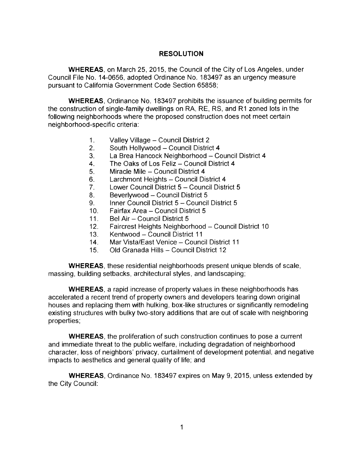## **RESOLUTION**

**WHEREAS,** on March 25, 2015, the Council of the City of Los Angeles, under Council File No. 14-0656, adopted Ordinance No. 183497 as an urgency measure pursuant to California Government Code Section 65858;

**WHEREAS,** Ordinance No. 183497 prohibits the issuance of building permits for the construction of single-family dwellings on RA, RE, RS, and R1 zoned lots in the following neighborhoods where the proposed construction does not meet certain neighborhood-specific criteria:

- 1. Valley Village Council District 2<br>2. South Hollywood Council Distric
- 2. South Hollywood Council District 4<br>3. La Brea Hancock Neighborhood Co
- 3. La Brea Hancock Neighborhood Council District 4<br>4. The Oaks of Los Feliz Council District 4
- 4. The Oaks of Los Feliz Council District 4<br>5. Miracle Mile Council District 4
- 5. Miracle Mile Council District 4<br>6. Larchmont Heights Council Di
- 6. Larchmont Heights Council District 4<br>7. Lower Council District 5 Council Distr
- 7. Lower Council District 5 Council District 5<br>8. Beverlywood Council District 5
- 
- 8. Beverlywood Council District 5<br>9. Inner Council District 5 Council 9. Inner Council District 5 - Council District 5<br>10. Fairfax Area - Council District 5
- 10. Fairfax Area Council District 5<br>11. Bel Air Council District 5
- 11. Bel Air Council District 5<br>12. Faircrest Heights Neighbor
- 12. Faircrest Heights Neighborhood Council District 10<br>13. Kentwood Council District 11
- 13. Kentwood Council District 11<br>14. Mar Vista/East Venice Counc
- 14. Mar Vista/East Venice Council District 11<br>15. Old Granada Hills Council District 12
- Old Granada Hills Council District 12

**WHEREAS,** these residential neighborhoods present unique blends of scale, massing, building setbacks, architectural styles, and landscaping;

WHEREAS, a rapid increase of property values in these neighborhoods has accelerated a recent trend of property owners and developers tearing down original houses and replacing them with hulking, box-like structures or significantly remodeling existing structures with bulky two-story additions that are out of scale with neighboring properties;

**WHEREAS,** the proliferation of such construction continues to pose a current and immediate threat to the public welfare, including degradation of neighborhood character, loss of neighbors' privacy, curtailment of development potential, and negative impacts to aesthetics and general quality of life; and

**WHEREAS,** Ordinance No. 183497 expires on May 9, 2015, unless extended by the City Council: